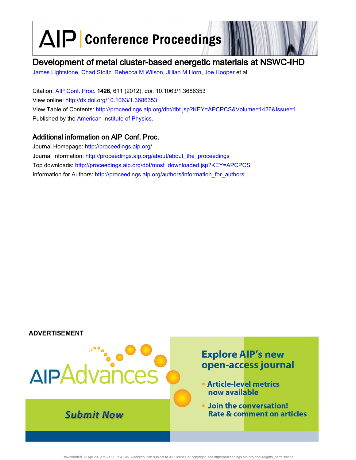AIP Conference Proceedings

# Development of metal cluster-based energetic materials at NSWC-IHD

James Lightstone, Chad Stoltz, Rebecca M Wilson, Jillian M Horn, Joe Hooper et al.

Citation: AIP Conf. Proc. 1426, 611 (2012); doi: 10.1063/1.3686353 View online: http://dx.doi.org/10.1063/1.3686353 View Table of Contents: http://proceedings.aip.org/dbt/dbt.jsp?KEY=APCPCS&Volume=1426&Issue=1 Published by the American Institute of Physics.

## Additional information on AIP Conf. Proc.

Journal Homepage: http://proceedings.aip.org/ Journal Information: http://proceedings.aip.org/about/about\_the\_proceedings Top downloads: http://proceedings.aip.org/dbt/most\_downloaded.jsp?KEY=APCPCS Information for Authors: http://proceedings.aip.org/authors/information\_for\_authors

### **ADVERTISEMENT**



Downloaded 02 Apr 2012 to 74.96.254.145. Redistribution subject to AIP license or copyright; see http://proceedings.aip.org/about/rights\_permission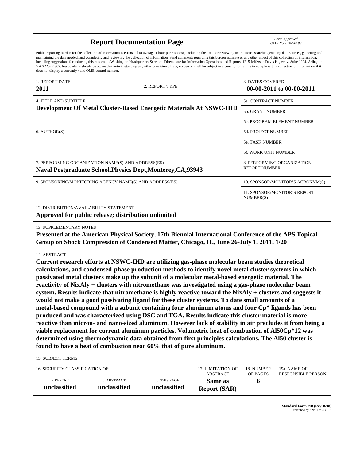| <b>Report Documentation Page</b>                                                                                                                                                                                                                                                                                                                                                                                                                                                                                                                                                                                                                                                                                                                                                                                                                                                                                                                                                                                                                                                                                                                                                                                                                            |                                      |                                                    |                                    | Form Approved<br>OMB No. 0704-0188 |                          |  |
|-------------------------------------------------------------------------------------------------------------------------------------------------------------------------------------------------------------------------------------------------------------------------------------------------------------------------------------------------------------------------------------------------------------------------------------------------------------------------------------------------------------------------------------------------------------------------------------------------------------------------------------------------------------------------------------------------------------------------------------------------------------------------------------------------------------------------------------------------------------------------------------------------------------------------------------------------------------------------------------------------------------------------------------------------------------------------------------------------------------------------------------------------------------------------------------------------------------------------------------------------------------|--------------------------------------|----------------------------------------------------|------------------------------------|------------------------------------|--------------------------|--|
| Public reporting burden for the collection of information is estimated to average 1 hour per response, including the time for reviewing instructions, searching existing data sources, gathering and<br>maintaining the data needed, and completing and reviewing the collection of information. Send comments regarding this burden estimate or any other aspect of this collection of information,<br>including suggestions for reducing this burden, to Washington Headquarters Services, Directorate for Information Operations and Reports, 1215 Jefferson Davis Highway, Suite 1204, Arlington<br>VA 22202-4302. Respondents should be aware that notwithstanding any other provision of law, no person shall be subject to a penalty for failing to comply with a collection of information if it<br>does not display a currently valid OMB control number.                                                                                                                                                                                                                                                                                                                                                                                          |                                      |                                                    |                                    |                                    |                          |  |
| 1. REPORT DATE<br>2011                                                                                                                                                                                                                                                                                                                                                                                                                                                                                                                                                                                                                                                                                                                                                                                                                                                                                                                                                                                                                                                                                                                                                                                                                                      |                                      | 2. REPORT TYPE                                     |                                    | <b>3. DATES COVERED</b>            | 00-00-2011 to 00-00-2011 |  |
| <b>4. TITLE AND SUBTITLE</b>                                                                                                                                                                                                                                                                                                                                                                                                                                                                                                                                                                                                                                                                                                                                                                                                                                                                                                                                                                                                                                                                                                                                                                                                                                |                                      | 5a. CONTRACT NUMBER                                |                                    |                                    |                          |  |
| Development Of Metal Cluster-Based Energetic Materials At NSWC-IHD                                                                                                                                                                                                                                                                                                                                                                                                                                                                                                                                                                                                                                                                                                                                                                                                                                                                                                                                                                                                                                                                                                                                                                                          |                                      | 5b. GRANT NUMBER                                   |                                    |                                    |                          |  |
|                                                                                                                                                                                                                                                                                                                                                                                                                                                                                                                                                                                                                                                                                                                                                                                                                                                                                                                                                                                                                                                                                                                                                                                                                                                             |                                      |                                                    |                                    | 5c. PROGRAM ELEMENT NUMBER         |                          |  |
| 6. AUTHOR(S)                                                                                                                                                                                                                                                                                                                                                                                                                                                                                                                                                                                                                                                                                                                                                                                                                                                                                                                                                                                                                                                                                                                                                                                                                                                |                                      |                                                    |                                    | <b>5d. PROJECT NUMBER</b>          |                          |  |
|                                                                                                                                                                                                                                                                                                                                                                                                                                                                                                                                                                                                                                                                                                                                                                                                                                                                                                                                                                                                                                                                                                                                                                                                                                                             |                                      |                                                    |                                    | 5e. TASK NUMBER                    |                          |  |
|                                                                                                                                                                                                                                                                                                                                                                                                                                                                                                                                                                                                                                                                                                                                                                                                                                                                                                                                                                                                                                                                                                                                                                                                                                                             |                                      |                                                    |                                    | <b>5f. WORK UNIT NUMBER</b>        |                          |  |
| 7. PERFORMING ORGANIZATION NAME(S) AND ADDRESS(ES)<br>Naval Postgraduate School, Physics Dept, Monterey, CA, 93943                                                                                                                                                                                                                                                                                                                                                                                                                                                                                                                                                                                                                                                                                                                                                                                                                                                                                                                                                                                                                                                                                                                                          |                                      | 8. PERFORMING ORGANIZATION<br><b>REPORT NUMBER</b> |                                    |                                    |                          |  |
| 9. SPONSORING/MONITORING AGENCY NAME(S) AND ADDRESS(ES)                                                                                                                                                                                                                                                                                                                                                                                                                                                                                                                                                                                                                                                                                                                                                                                                                                                                                                                                                                                                                                                                                                                                                                                                     |                                      |                                                    |                                    | 10. SPONSOR/MONITOR'S ACRONYM(S)   |                          |  |
|                                                                                                                                                                                                                                                                                                                                                                                                                                                                                                                                                                                                                                                                                                                                                                                                                                                                                                                                                                                                                                                                                                                                                                                                                                                             |                                      | 11. SPONSOR/MONITOR'S REPORT<br>NUMBER(S)          |                                    |                                    |                          |  |
| 12. DISTRIBUTION/AVAILABILITY STATEMENT<br>Approved for public release; distribution unlimited                                                                                                                                                                                                                                                                                                                                                                                                                                                                                                                                                                                                                                                                                                                                                                                                                                                                                                                                                                                                                                                                                                                                                              |                                      |                                                    |                                    |                                    |                          |  |
| 13. SUPPLEMENTARY NOTES<br>Presented at the American Physical Society, 17th Biennial International Conference of the APS Topical<br>Group on Shock Compression of Condensed Matter, Chicago, IL, June 26-July 1, 2011, 1/20                                                                                                                                                                                                                                                                                                                                                                                                                                                                                                                                                                                                                                                                                                                                                                                                                                                                                                                                                                                                                                 |                                      |                                                    |                                    |                                    |                          |  |
| 14. ABSTRACT<br>Current research efforts at NSWC-IHD are utilizing gas-phase molecular beam studies theoretical<br>calculations, and condensed-phase production methods to identify novel metal cluster systems in which<br>passivated metal clusters make up the subunit of a molecular metal-based energetic material. The<br>reactivity of NixAly + clusters with nitromethane was investigated using a gas-phase molecular beam<br>system. Results indicate that nitromethane is highly reactive toward the NixAly + clusters and suggests it<br>would not make a good passivating ligand for these cluster systems. To date small amounts of a<br>metal-based compound with a subunit containing four aluminum atoms and four Cp* ligands has been<br>produced and was characterized using DSC and TGA. Results indicate this cluster material is more<br>reactive than micron- and nano-sized aluminum. However lack of stability in air precludes it from being a<br>viable replacement for current aluminum particles. Volumetric heat of combustion of Al50Cp*12 was<br>determined using thermodynamic data obtained from first principles calculations. The Al50 cluster is<br>found to have a heat of combustion near 60% that of pure aluminum. |                                      |                                                    |                                    |                                    |                          |  |
| <b>15. SUBJECT TERMS</b>                                                                                                                                                                                                                                                                                                                                                                                                                                                                                                                                                                                                                                                                                                                                                                                                                                                                                                                                                                                                                                                                                                                                                                                                                                    |                                      |                                                    |                                    |                                    |                          |  |
| 16. SECURITY CLASSIFICATION OF:                                                                                                                                                                                                                                                                                                                                                                                                                                                                                                                                                                                                                                                                                                                                                                                                                                                                                                                                                                                                                                                                                                                                                                                                                             | 17. LIMITATION OF<br><b>ABSTRACT</b> | 18. NUMBER<br>OF PAGES                             | 19a. NAME OF<br>RESPONSIBLE PERSON |                                    |                          |  |
| a. REPORT<br>unclassified                                                                                                                                                                                                                                                                                                                                                                                                                                                                                                                                                                                                                                                                                                                                                                                                                                                                                                                                                                                                                                                                                                                                                                                                                                   | b. ABSTRACT<br>unclassified          | c. THIS PAGE<br>unclassified                       | Same as<br><b>Report (SAR)</b>     | 6                                  |                          |  |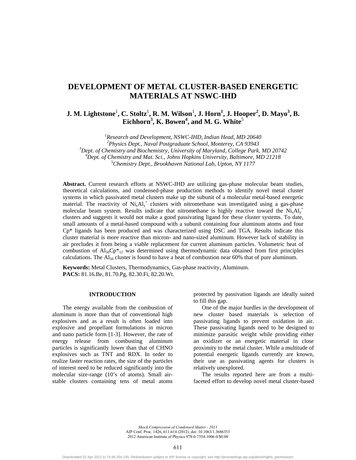## **DEVELOPMENT OF METAL CLUSTER-BASED ENERGETIC MATERIALS AT NSWC-IHD**

**J. M. Lightstone<sup>1</sup>, C. Stoltz<sup>1</sup>, R. M. Wilson<sup>1</sup>, J. Horn<sup>1</sup>, J. Hooper<sup>2</sup>, D. Mayo<sup>3</sup>, B.**  $\mathbf{Eichhorn}^3$ , **K.** Bowen<sup>4</sup>, and M. G. White<sup>5</sup>

<sup>1</sup> Research and Development, NSWC-IHD, Indian Head, MD 20640<br><sup>2</sup> Physics Dant, Naval Bostanaduste Sebool, Montenoy, CA 03043 *Physics Dept., Naval Postgraduate School, Monterey, CA 93943 3* <sup>3</sup> Dept. of Chemistry and Biochemistry, University of Maryland, College Park, MD 20742 <sup>4</sup> Dept. of Chemistry and Mat. Sci., Johns Hopkins University, Baltimore, MD 21218 *Chemistry Dept., Brookhaven National Lab, Upton, NY 1177* 

**Abstract.** Current research efforts at NSWC-IHD are utilizing gas-phase molecular beam studies, theoretical calculations, and condensed-phase production methods to identify novel metal cluster systems in which passivated metal clusters make up the subunit of a molecular metal-based energetic material. The reactivity of  $Ni_xAl_y^+$  clusters with nitromethane was investigated using a gas-phase molecular beam system. Results indicate that nitromethane is highly reactive toward the  $Ni_xAl_y^+$ clusters and suggests it would not make a good passivating ligand for these cluster systems. To date, small amounts of a metal-based compound with a subunit containing four aluminum atoms and four Cp\* ligands has been produced and was characterized using DSC and TGA. Results indicate this cluster material is more reactive than micron- and nano-sized aluminum. However lack of stability in air precludes it from being a viable replacement for current aluminum particles. Volumetric heat of combustion of  $Al<sub>50</sub>CP<sup>*</sup><sub>12</sub>$  was determined using thermodynamic data obtained from first principles calculations. The  $Al_{50}$  cluster is found to have a heat of combustion near 60% that of pure aluminum.

**Keywords:** Metal Clusters, Thermodynamics, Gas-phase reactivity, Aluminum. **PACS:** 81.16.Be, 81.70.Pg, 82.30.Fi, 82.20.Wt.

#### **INTRODUCTION**

The energy available from the combustion of aluminum is more than that of conventional high explosives and as a result is often loaded into explosive and propellant formulations in micron and nano particle form [1-3]. However, the rate of energy release from combusting aluminum particles is significantly lower than that of CHNO explosives such as TNT and RDX. In order to realize faster reaction rates, the size of the particles of interest need to be reduced significantly into the molecular size-range (10's of atoms). Small airstable clusters containing tens of metal atoms

protected by passivation ligands are ideally suited to fill this gap.

 One of the major hurdles in the development of new cluster based materials is selection of passivating ligands to prevent oxidation in air. These passivating ligands need to be designed to minimize parasitic weight while providing either an oxidizer or an energetic material in close proximity to the metal cluster. While a multitude of potential energetic ligands currently are known, their use as passivating agents for clusters is relatively unexplored.

The results reported here are from a multifaceted effort to develop novel metal cluster-based

*Shock Compression of Condensed Matter - 2011* AIP Conf. Proc. 1426, 611-614 (2012); doi: 10.1063/1.3686353 2012 American Institute of Physics 978-0-7354-1006-0/\$0.00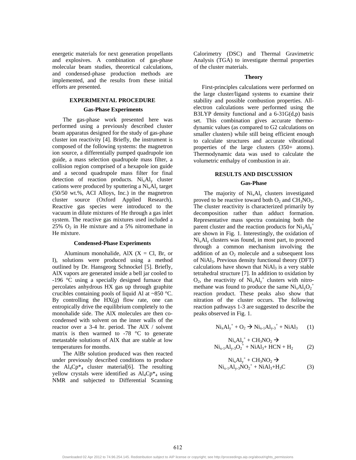energetic materials for next generation propellants and explosives. A combination of gas-phase molecular beam studies, theoretical calculations, and condensed-phase production methods are implemented, and the results from these initial efforts are presented.

#### **EXPERIMENTAL PROCEDURE**

#### **Gas-Phase Experiments**

The gas-phase work presented here was performed using a previously described cluster beam apparatus designed for the study of gas-phase cluster ion reactivity [4]. Briefly, the instrument is composed of the following systems: the magnetron ion source, a differentially pumped quadrupole ion guide, a mass selection quadrupole mass filter, a collision region comprised of a hexapole ion guide and a second quadrupole mass filter for final detection of reaction products.  $Ni_xAl_y$  cluster cations were produced by sputtering a  $Ni<sub>x</sub>Al<sub>y</sub>$  target (50/50 wt.%, ACI Alloys, Inc.) in the magnetron cluster source (Oxford Applied Research). Reactive gas species were introduced to the vacuum in dilute mixtures of He through a gas inlet system. The reactive gas mixtures used included a 25%  $O_2$  in He mixture and a 5% nitromethane in He mixture.

#### **Condensed-Phase Experiments**

Aluminum monohalide, AlX  $(X = Cl, Br, or)$ I), solutions were produced using a method outlined by Dr. Hansgeorg Schnockel [5]. Briefly, AlX vapors are generated inside a bell jar cooled to -196 °C using a specially designed furnace that percolates anhydrous HX gas up through graphite crucibles containing pools of liquid Al at ~850 °C. By controlling the  $HX(g)$  flow rate, one can entropically drive the equilibrium completely to the monohalide side. The AlX molecules are then cocondensed with solvent on the inner walls of the reactor over a 3-4 hr. period. The AlX / solvent matrix is then warmed to  $-78$  °C to generate metastable solutions of AlX that are stable at low temperatures for months.

The AlBr solution produced was then reacted under previously described conditions to produce the  $Al_4Cp*_4$  cluster material[6]. The resulting yellow crystals were identified as  $Al_4Cp*<sub>4</sub>$  using NMR and subjected to Differential Scanning

Calorimetry (DSC) and Thermal Gravimetric Analysis (TGA) to investigate thermal properties of the cluster materials.

#### **Theory**

First-principles calculations were performed on the large cluster/ligand systems to examine their stability and possible combustion properties. Allelectron calculations were performed using the B3LYP density functional and a  $6-31G(d,p)$  basis set. This combination gives accurate thermodynamic values (as compared to G2 calculations on smaller clusters) while still being efficient enough to calculate structures and accurate vibrational properties of the large clusters (350+ atoms). Thermodynamic data was used to calculate the volumetric enthalpy of combustion in air.

### **RESULTS AND DISCUSSION**

#### **Gas-Phase**

The majority of  $Ni_xAl_y$  clusters investigated proved to be reactive toward both  $O_2$  and  $CH_3NO_2$ . The cluster reactivity is characterized primarily by decomposition rather than adduct formation. Representative mass spectra containing both the parent cluster and the reaction products for  $\text{Ni}_{3}\text{Al}_{3}^{+}$ are shown in Fig. 1. Interestingly, the oxidation of  $Ni_xAl_y$  clusters was found, in most part, to proceed through a common mechanism involving the addition of an  $O_2$  molecule and a subsequent loss of NiAl3. Previous density functional theory (DFT) calculations have shown that  $NiAl<sub>3</sub>$  is a very stable tetrahedral structure [7]. In addition to oxidation by  $O_2$ , the reactivity of  $Ni_xAl_y^+$  clusters with nitromethane was found to produce the same  $Ni_xAl_yO_2^+$ reaction product. These peaks also show that nitration of the cluster occurs. The following reaction pathways 1-3 are suggested to describe the peaks observed in Fig. 1.

$$
Ni_x Al_y^+ + O_2 \to Ni_{x-1}Al_{y-3}^+ + NiAl_3 \qquad (1)
$$

$$
Ni_x Al_y^+ + CH_3 NO_2 \rightarrow Ni_{x-1}Al_{y-3}O_2^+ + NiAl_{3} + HCN + H_2
$$
 (2)

$$
Ni_x Al_y^+ + CH_3 NO_2 \rightarrow Ni_{x-1} Al_{y-3} NO_2^+ + Ni Al_3 + H_3 C
$$
 (3)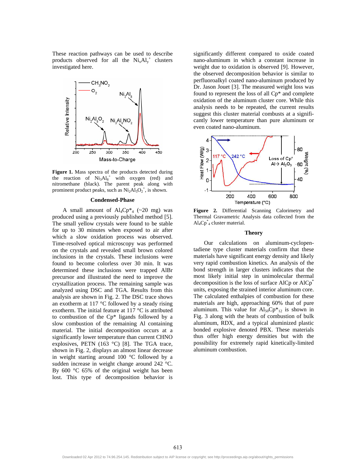These reaction pathways can be used to describe products observed for all the  $Ni_xAl_y^+$  clusters investigated here.



**Figure 1.** Mass spectra of the products detected during the reaction of  $Ni<sub>3</sub>Al<sub>8</sub><sup>+</sup>$  with oxygen (red) and nitromethane (black). The parent peak along with prominent product peaks, such as  $Ni<sub>2</sub>Al<sub>5</sub>O<sub>2</sub><sup>+</sup>$ , is shown.

#### **Condensed-Phase**

A small amount of  $Al_4Cp*4$  (~20 mg) was produced using a previously published method [5]. The small yellow crystals were found to be stable for up to 30 minutes when exposed to air after which a slow oxidation process was observed. Time-resolved optical microscopy was performed on the crystals and revealed small brown colored inclusions in the crystals. These inclusions were found to become colorless over 30 min. It was determined these inclusions were trapped AlBr precursor and illustrated the need to improve the crystallization process. The remaining sample was analyzed using DSC and TGA. Results from this analysis are shown in Fig. 2. The DSC trace shows an exotherm at 117  $\degree$ C followed by a steady rising exotherm. The initial feature at 117 °C is attributed to combustion of the Cp\* ligands followed by a slow combustion of the remaining Al containing material. The initial decomposition occurs at a significantly lower temperature than current CHNO explosives, PETN (163 °C) [8]. The TGA trace, shown in Fig. 2, displays an almost linear decrease in weight starting around 100 °C followed by a sudden increase in weight change around 242 °C. By 600 °C 65% of the original weight has been lost. This type of decomposition behavior is

significantly different compared to oxide coated nano-aluminum in which a constant increase in weight due to oxidation is observed [9]. However, the observed decomposition behavior is similar to perfluoroalkyl coated nano-aluminum produced by Dr. Jason Jouet [3]. The measured weight loss was found to represent the loss of all Cp\* and complete oxidation of the aluminum cluster core. While this analysis needs to be repeated, the current results suggest this cluster material combusts at a significantly lower temperature than pure aluminum or even coated nano-aluminum.



**Figure 2.** Differential Scanning Calorimetry and Thermal Gravametric Analysis data collected from the  $\text{Al}_4\text{Cp}^*$ <sub>4</sub> cluster material.

#### **Theory**

Our calculations on aluminum-cyclopentadiene type cluster materials confirm that these materials have significant energy density and likely very rapid combustion kinetics. An analysis of the bond strength in larger clusters indicates that the most likely initial step in unimolecular thermal decomposition is the loss of surface  $AICp$  or  $AICp^*$ units, exposing the strained interior aluminum core. The calculated enthalpies of combustion for these materials are high, approaching 60% that of pure aluminum. This value for  $Al_{50}Cp*_{12}$  is shown in Fig. 3 along with the heats of combustion of bulk aluminum, RDX, and a typical aluminized plastic bonded explosive denoted PBX. These materials thus offer high energy densities but with the possibility for extremely rapid kinetically-limited aluminum combustion.